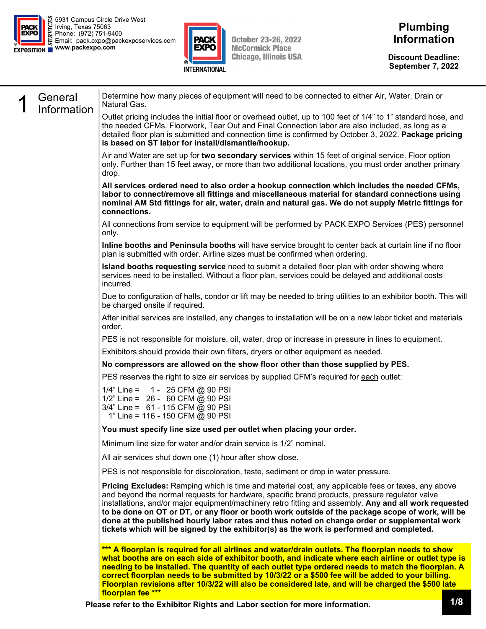



**October 23-26, 2022 McCormick Place Chicago, Illinois USA** 

**Discount Deadline: September 7, 2022** 

| General     | Determine how many pieces of equipment will need to be connected to either Air, Water, Drain or<br>Natural Gas.                                                                                                                                                                                                                                                                                                                                                                                                                                                                                                |
|-------------|----------------------------------------------------------------------------------------------------------------------------------------------------------------------------------------------------------------------------------------------------------------------------------------------------------------------------------------------------------------------------------------------------------------------------------------------------------------------------------------------------------------------------------------------------------------------------------------------------------------|
| Information | Outlet pricing includes the initial floor or overhead outlet, up to 100 feet of 1/4" to 1" standard hose, and<br>the needed CFMs. Floorwork, Tear Out and Final Connection labor are also included, as long as a<br>detailed floor plan is submitted and connection time is confirmed by October 3, 2022. Package pricing<br>is based on ST labor for install/dismantle/hookup.                                                                                                                                                                                                                                |
|             | Air and Water are set up for two secondary services within 15 feet of original service. Floor option<br>only. Further than 15 feet away, or more than two additional locations, you must order another primary<br>drop.                                                                                                                                                                                                                                                                                                                                                                                        |
|             | All services ordered need to also order a hookup connection which includes the needed CFMs,<br>labor to connect/remove all fittings and miscellaneous material for standard connections using<br>nominal AM Std fittings for air, water, drain and natural gas. We do not supply Metric fittings for<br>connections.                                                                                                                                                                                                                                                                                           |
|             | All connections from service to equipment will be performed by PACK EXPO Services (PES) personnel<br>only.                                                                                                                                                                                                                                                                                                                                                                                                                                                                                                     |
|             | Inline booths and Peninsula booths will have service brought to center back at curtain line if no floor<br>plan is submitted with order. Airline sizes must be confirmed when ordering.                                                                                                                                                                                                                                                                                                                                                                                                                        |
|             | Island booths requesting service need to submit a detailed floor plan with order showing where<br>services need to be installed. Without a floor plan, services could be delayed and additional costs<br>incurred.                                                                                                                                                                                                                                                                                                                                                                                             |
|             | Due to configuration of halls, condor or lift may be needed to bring utilities to an exhibitor booth. This will<br>be charged onsite if required.                                                                                                                                                                                                                                                                                                                                                                                                                                                              |
|             | After initial services are installed, any changes to installation will be on a new labor ticket and materials<br>order.                                                                                                                                                                                                                                                                                                                                                                                                                                                                                        |
|             | PES is not responsible for moisture, oil, water, drop or increase in pressure in lines to equipment.                                                                                                                                                                                                                                                                                                                                                                                                                                                                                                           |
|             | Exhibitors should provide their own filters, dryers or other equipment as needed.                                                                                                                                                                                                                                                                                                                                                                                                                                                                                                                              |
|             | No compressors are allowed on the show floor other than those supplied by PES.                                                                                                                                                                                                                                                                                                                                                                                                                                                                                                                                 |
|             | PES reserves the right to size air services by supplied CFM's required for each outlet:                                                                                                                                                                                                                                                                                                                                                                                                                                                                                                                        |
|             | 1/4" Line = $1 - 25$ CFM @ 90 PSI<br>1/2" Line = 26 - 60 CFM @ 90 PSI<br>$3/4$ " Line = 61 - 115 CFM @ 90 PSI<br>1" Line = 116 - 150 CFM @ 90 PSI                                                                                                                                                                                                                                                                                                                                                                                                                                                              |
|             | You must specify line size used per outlet when placing your order.                                                                                                                                                                                                                                                                                                                                                                                                                                                                                                                                            |
|             | Minimum line size for water and/or drain service is 1/2" nominal.                                                                                                                                                                                                                                                                                                                                                                                                                                                                                                                                              |
|             | All air services shut down one (1) hour after show close.                                                                                                                                                                                                                                                                                                                                                                                                                                                                                                                                                      |
|             | PES is not responsible for discoloration, taste, sediment or drop in water pressure.                                                                                                                                                                                                                                                                                                                                                                                                                                                                                                                           |
|             | Pricing Excludes: Ramping which is time and material cost, any applicable fees or taxes, any above<br>and beyond the normal requests for hardware, specific brand products, pressure regulator valve<br>installations, and/or major equipment/machinery retro fitting and assembly. Any and all work requested<br>to be done on OT or DT, or any floor or booth work outside of the package scope of work, will be<br>done at the published hourly labor rates and thus noted on change order or supplemental work<br>tickets which will be signed by the exhibitor(s) as the work is performed and completed. |
|             | *** A floorplan is required for all airlines and water/drain outlets. The floorplan needs to show<br>what booths are on each side of exhibitor booth, and indicate where each airline or outlet type is<br>needing to be installed. The quantity of each outlet type ordered needs to match the floorplan. A<br>correct floorplan needs to be submitted by 10/3/22 or a \$500 fee will be added to your billing.                                                                                                                                                                                               |

**Please refer to the Exhibitor Rights and Labor section for more information.** 1/8

**floorplan fee \*\*\*** 

**Floorplan revisions after 10/3/22 will also be considered late, and will be charged the \$500 late**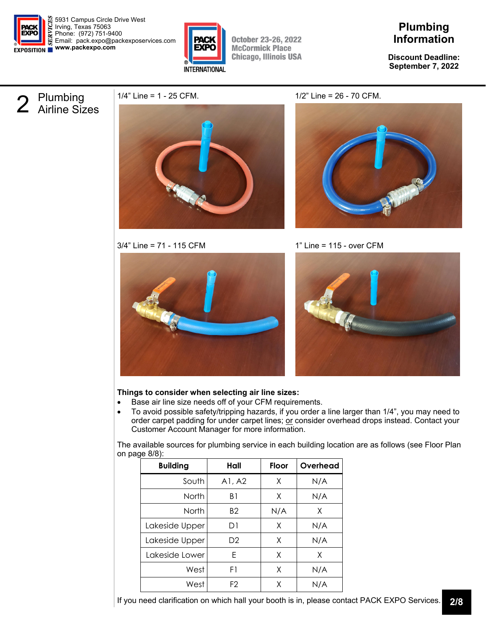

5931 Campus Circle Drive West Irving, Texas 75063 Phone: (972) 751-9400 Email: pack.expo@packexposervices.com **www.packexpo.com** 



**October 23-26, 2022 McCormick Place Chicago, Illinois USA** 

## **Plumbing Information**

**Discount Deadline: September 7, 2022** 

# 2 Plumbing<br>2 Airline Sizes



3/4" Line = 71 - 115 CFM 1" Line = 115 - over CFM







### **Things to consider when selecting air line sizes:**

- Base air line size needs off of your CFM requirements.
- To avoid possible safety/tripping hazards, if you order a line larger than 1/4", you may need to order carpet padding for under carpet lines; or consider overhead drops instead. Contact your Customer Account Manager for more information.

The available sources for plumbing service in each building location are as follows (see Floor Plan on page 8/8):

| <b>Building</b> | Hall           | <b>Floor</b> | Overhead |
|-----------------|----------------|--------------|----------|
| South           | AI, A2         | Χ            | N/A      |
| <b>North</b>    | B1             | X            | N/A      |
| <b>North</b>    | B <sub>2</sub> | N/A          | X        |
| Lakeside Upper  | D1             | X            | N/A      |
| Lakeside Upper  | D <sub>2</sub> | Χ            | N/A      |
| Lakeside Lower  | F              | X            | X        |
| West            | F1             | X            | N/A      |
| West            | F <sub>2</sub> | Χ            | N/A      |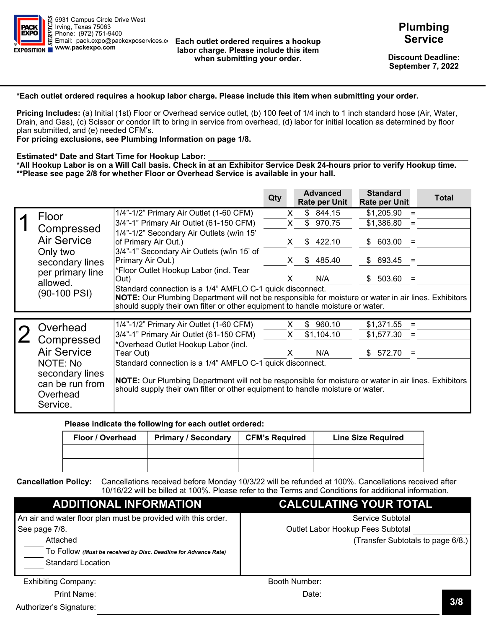NORTH BUILDING - LEVEL 3 UPPER LAKESIDE CENTER - LEV



LOWER LAKESIDE CENTER - LEVEL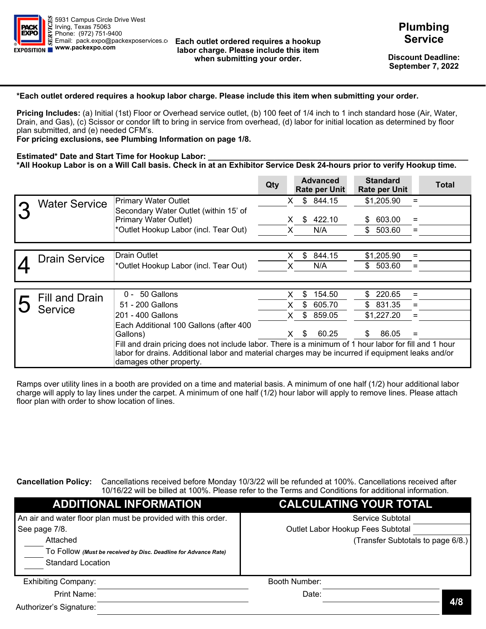

#### **Each outlet ordered requires a hookup labor charge. Please include this item when submitting your order.**

**Discount Deadline: September 7, 2022** 

#### **\*Each outlet ordered requires a hookup labor charge. Please include this item when submitting your order.**

**Pricing Includes:** (a) Initial (1st) Floor or Overhead service outlet, (b) 100 feet of 1/4 inch to 1 inch standard hose (Air, Water, Drain, and Gas), (c) Scissor or condor lift to bring in service from overhead, (d) labor for initial location as determined by floor plan submitted, and (e) needed CFM's.

**For pricing exclusions, see Plumbing Information on page 1/8.** 

#### **Estimated\* Date and Start Time for Hookup Labor:**

**\*All Hookup Labor is on a Will Call basis. Check in at an Exhibitor Service Desk 24-hours prior to verify Hookup time. \*\*Please see page 2/8 for whether Floor or Overhead Service is available in your hall.** 

|                                                                        |                                                                                                                                                                                                                                                            | Qty |    | <b>Advanced</b><br><b>Rate per Unit</b> |     | <b>Standard</b><br><b>Rate per Unit</b> |     | <b>Total</b> |
|------------------------------------------------------------------------|------------------------------------------------------------------------------------------------------------------------------------------------------------------------------------------------------------------------------------------------------------|-----|----|-----------------------------------------|-----|-----------------------------------------|-----|--------------|
| Floor                                                                  | 1/4"-1/2" Primary Air Outlet (1-60 CFM)                                                                                                                                                                                                                    |     | X. | \$844.15                                |     | \$1,205.90                              |     |              |
|                                                                        | 3/4"-1" Primary Air Outlet (61-150 CFM)                                                                                                                                                                                                                    |     | X. | 970.75<br>\$                            |     | \$1,386.80                              | $=$ |              |
| Compressed<br><b>Air Service</b>                                       | 1/4"-1/2" Secondary Air Outlets (w/in 15'<br>of Primary Air Out.)                                                                                                                                                                                          |     | X. | 422.10<br>S.                            |     | \$603.00                                | $=$ |              |
| Only two<br>secondary lines                                            | 3/4"-1" Secondary Air Outlets (w/in 15' of<br>Primary Air Out.)                                                                                                                                                                                            |     | X  | 485.40<br>\$                            | \$  | 693.45                                  |     |              |
| per primary line<br>allowed.                                           | *Floor Outlet Hookup Labor (incl. Tear<br>Out)                                                                                                                                                                                                             |     | x  | N/A                                     | \$. | 503.60                                  |     |              |
| $(90-100$ PSI)                                                         | Standard connection is a 1/4" AMFLO C-1 quick disconnect.<br>NOTE: Our Plumbing Department will not be responsible for moisture or water in air lines. Exhibitors<br>should supply their own filter or other equipment to handle moisture or water.        |     |    |                                         |     |                                         |     |              |
|                                                                        |                                                                                                                                                                                                                                                            |     |    |                                         |     |                                         |     |              |
| Overhead                                                               | 1/4"-1/2" Primary Air Outlet (1-60 CFM)                                                                                                                                                                                                                    |     | X. | \$.<br>960.10                           |     | \$1,371.55                              |     |              |
| Compressed                                                             | 3/4"-1" Primary Air Outlet (61-150 CFM)                                                                                                                                                                                                                    |     | X. | \$1,104.10                              |     | \$1,577.30                              | $=$ |              |
| <b>Air Service</b>                                                     | *Overhead Outlet Hookup Labor (incl.<br>Tear Out)                                                                                                                                                                                                          |     | X  | N/A                                     | \$. | 572.70                                  | $=$ |              |
| NOTE: No<br>secondary lines<br>can be run from<br>Overhead<br>Service. | Standard connection is a 1/4" AMFLO C-1 quick disconnect.<br><b>NOTE:</b> Our Plumbing Department will not be responsible for moisture or water in air lines. Exhibitors<br>should supply their own filter or other equipment to handle moisture or water. |     |    |                                         |     |                                         |     |              |

#### **Please indicate the following for each outlet ordered:**

| Floor / Overhead | <b>Primary / Secondary</b> | <b>CFM's Required</b> | <b>Line Size Required</b> |  |  |  |  |
|------------------|----------------------------|-----------------------|---------------------------|--|--|--|--|
|                  |                            |                       |                           |  |  |  |  |
|                  |                            |                       |                           |  |  |  |  |

**Cancellation Policy:** Cancellations received before Monday 10/3/22 will be refunded at 100%. Cancellations received after 10/16/22 will be billed at 100%. Please refer to the Terms and Conditions for additional information.

| <b>ADDITIONAL INFORMATION</b>                                                                           | CALCULATING YOUR TOTAL            |
|---------------------------------------------------------------------------------------------------------|-----------------------------------|
| An air and water floor plan must be provided with this order.                                           | Service Subtotal                  |
| See page 7/8.                                                                                           | Outlet Labor Hookup Fees Subtotal |
| Attached<br>TO FOIIOW (Must be received by Disc. Deadline for Advance Rate)<br><b>Standard Location</b> | (Transfer Subtotals to page 6/8.) |
| <b>Exhibiting Company:</b>                                                                              | Booth Number:                     |
| Print Name:                                                                                             | Date:                             |
| Authorizer's Signature:                                                                                 | 3/8                               |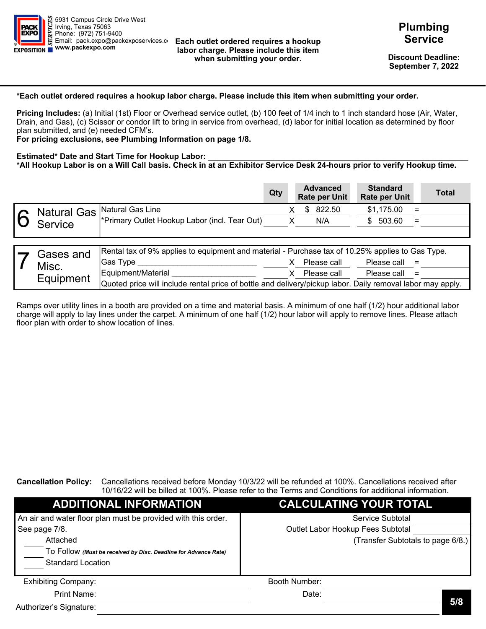

#### **Each outlet ordered requires a hookup labor charge. Please include this item when submitting your order.**

**Discount Deadline: September 7, 2022** 

#### **\*Each outlet ordered requires a hookup labor charge. Please include this item when submitting your order.**

**Pricing Includes:** (a) Initial (1st) Floor or Overhead service outlet, (b) 100 feet of 1/4 inch to 1 inch standard hose (Air, Water, Drain, and Gas), (c) Scissor or condor lift to bring in service from overhead, (d) labor for initial location as determined by floor plan submitted, and (e) needed CFM's.

**For pricing exclusions, see Plumbing Information on page 1/8.** 

#### **Estimated\* Date and Start Time for Hookup Labor:**

**\*All Hookup Labor is on a Will Call basis. Check in at an Exhibitor Service Desk 24-hours prior to verify Hookup time.** 

|                       |                                                                                                                                                                                                                                       | Qty |    | <b>Advanced</b><br><b>Rate per Unit</b> | <b>Standard</b><br><b>Rate per Unit</b> |            | <b>Total</b> |
|-----------------------|---------------------------------------------------------------------------------------------------------------------------------------------------------------------------------------------------------------------------------------|-----|----|-----------------------------------------|-----------------------------------------|------------|--------------|
| <b>Water Service</b>  | <b>Primary Water Outlet</b>                                                                                                                                                                                                           |     | X. | \$844.15                                | \$1,205.90                              | $=$        |              |
|                       | Secondary Water Outlet (within 15' of<br>Primary Water Outlet)<br>*Outlet Hookup Labor (incl. Tear Out)                                                                                                                               |     | X. | 422.10<br>\$<br>N/A                     | 603.00<br>S.<br>503.60<br>\$.           | $=$<br>$=$ |              |
|                       | Drain Outlet                                                                                                                                                                                                                          |     |    | \$                                      | \$1,205.90                              |            |              |
| <b>Drain Service</b>  | *Outlet Hookup Labor (incl. Tear Out)                                                                                                                                                                                                 |     |    | 844.15<br>N/A                           | \$503.60                                |            |              |
|                       |                                                                                                                                                                                                                                       |     |    |                                         |                                         |            |              |
| <b>Fill and Drain</b> | 0 - 50 Gallons                                                                                                                                                                                                                        |     | X  | \$<br>154.50                            | \$220.65                                | $=$        |              |
| Service               | 51 - 200 Gallons                                                                                                                                                                                                                      |     |    | \$<br>605.70                            | \$ 831.35                               | $=$        |              |
|                       | 201 - 400 Gallons                                                                                                                                                                                                                     |     | x  | \$<br>859.05                            | \$1,227.20                              | $=$        |              |
|                       | Each Additional 100 Gallons (after 400<br>Gallons)                                                                                                                                                                                    |     | X. | 60.25<br>\$                             | 86.05<br>\$.                            |            |              |
|                       | Fill and drain pricing does not include labor. There is a minimum of 1 hour labor for fill and 1 hour<br>labor for drains. Additional labor and material charges may be incurred if equipment leaks and/or<br>damages other property. |     |    |                                         |                                         |            |              |

Ramps over utility lines in a booth are provided on a time and material basis. A minimum of one half (1/2) hour additional labor charge will apply to lay lines under the carpet. A minimum of one half (1/2) hour labor will apply to remove lines. Please attach floor plan with order to show location of lines.

#### **Cancellation Policy:** Cancellations received before Monday 10/3/22 will be refunded at 100%. Cancellations received after 10/16/22 will be billed at 100%. Please refer to the Terms and Conditions for additional information.

| <b>ADDITIONAL INFORMATION</b>                                                                           | <b>CALCULATING YOUR TOTAL</b>     |
|---------------------------------------------------------------------------------------------------------|-----------------------------------|
| An air and water floor plan must be provided with this order.                                           | Service Subtotal                  |
| See page 7/8.                                                                                           | Outlet Labor Hookup Fees Subtotal |
| Attached<br>To Follow (Must be received by Disc. Deadline for Advance Rate)<br><b>Standard Location</b> | (Transfer Subtotals to page 6/8.) |
| <b>Exhibiting Company:</b>                                                                              | Booth Number:                     |
| Print Name:                                                                                             | Date:                             |
| Authorizer's Signature:                                                                                 | 4/8                               |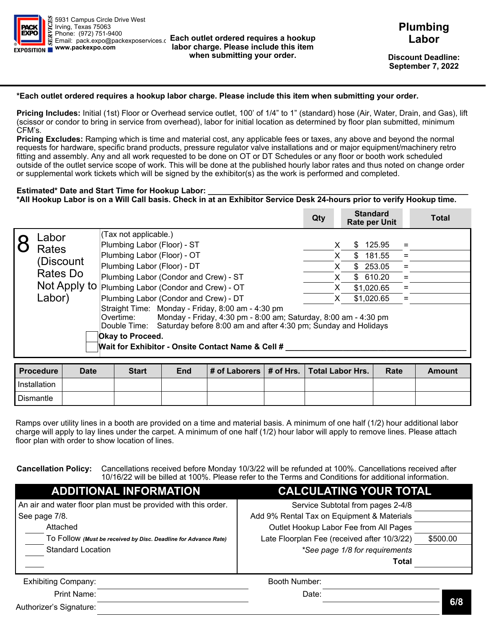

#### **Each outlet ordered requires a hookup labor charge. Please include this item when submitting your order.**

**Discount Deadline: September 7, 2022** 

#### **\*Each outlet ordered requires a hookup labor charge. Please include this item when submitting your order.**

**Pricing Includes:** (a) Initial (1st) Floor or Overhead service outlet, (b) 100 feet of 1/4 inch to 1 inch standard hose (Air, Water, Drain, and Gas), (c) Scissor or condor lift to bring in service from overhead, (d) labor for initial location as determined by floor plan submitted, and (e) needed CFM's.

**For pricing exclusions, see Plumbing Information on page 1/8.** 

#### **Estimated\* Date and Start Time for Hookup Labor:**

**\*All Hookup Labor is on a Will Call basis. Check in at an Exhibitor Service Desk 24-hours prior to verify Hookup time.** 

|                    |                                                                                                                                    | Qty |         | <b>Advanced</b><br><b>Rate per Unit</b> | <b>Standard</b><br><b>Rate per Unit</b> |            | <b>Total</b> |
|--------------------|------------------------------------------------------------------------------------------------------------------------------------|-----|---------|-----------------------------------------|-----------------------------------------|------------|--------------|
| <b>Natural Gas</b> | Natural Gas Line<br>*Primary Outlet Hookup Labor (incl. Tear Out)                                                                  |     | X.      | 822.50<br>S.<br>N/A                     | \$1,175.00<br>\$503.60                  | $=$<br>$=$ |              |
| Service            |                                                                                                                                    |     |         |                                         |                                         |            |              |
| Gases and<br>Misc. | Rental tax of 9% applies to equipment and material - Purchase tax of 10.25% applies to Gas Type.<br>Gas Type<br>Equipment/Material |     | X.<br>x | Please call<br>Please call              | Please call $=$<br>Please call $=$      |            |              |
| Equipment          | Quoted price will include rental price of bottle and delivery/pickup labor. Daily removal labor may apply.                         |     |         |                                         |                                         |            |              |

Ramps over utility lines in a booth are provided on a time and material basis. A minimum of one half (1/2) hour additional labor charge will apply to lay lines under the carpet. A minimum of one half (1/2) hour labor will apply to remove lines. Please attach floor plan with order to show location of lines.

**Cancellation Policy:** Cancellations received before Monday 10/3/22 will be refunded at 100%. Cancellations received after 10/16/22 will be billed at 100%. Please refer to the Terms and Conditions for additional information.

| <b>ADDITIONAL INFORMATION</b>                                                                           | <b>CALCULATING YOUR TOTAL</b>     |
|---------------------------------------------------------------------------------------------------------|-----------------------------------|
| An air and water floor plan must be provided with this order.                                           | Service Subtotal                  |
| See page 7/8.                                                                                           | Outlet Labor Hookup Fees Subtotal |
| Attached<br>TO FOIIOW (Must be received by Disc. Deadline for Advance Rate)<br><b>Standard Location</b> | (Transfer Subtotals to page 6/8.) |
| <b>Exhibiting Company:</b>                                                                              | Booth Number:                     |
| Print Name:                                                                                             | Date:                             |
| Authorizer's Signature:                                                                                 | 5/8                               |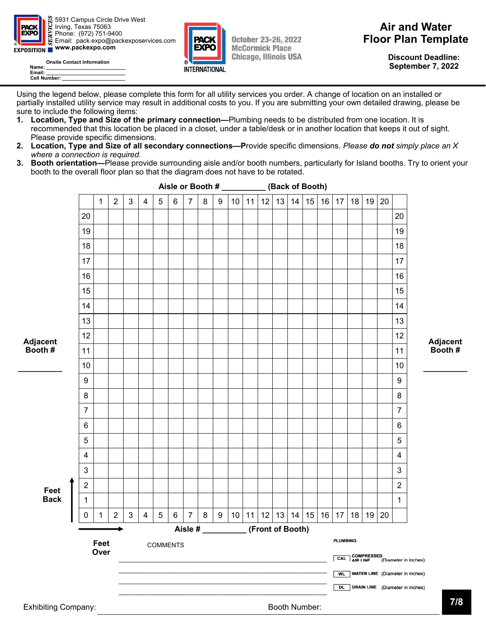

Email: pack.expo@packexposervices.c **Each outlet ordered requires a hookup labor charge. Please include this item when submitting your order.** 

**Discount Deadline: September 7, 2022** 

#### **\*Each outlet ordered requires a hookup labor charge. Please include this item when submitting your order.**

**Pricing Includes:** Initial (1st) Floor or Overhead service outlet, 100' of 1/4" to 1" (standard) hose (Air, Water, Drain, and Gas), lift (scissor or condor to bring in service from overhead), labor for initial location as determined by floor plan submitted, minimum CFM's.

**Pricing Excludes:** Ramping which is time and material cost, any applicable fees or taxes, any above and beyond the normal requests for hardware, specific brand products, pressure regulator valve installations and or major equipment/machinery retro fitting and assembly. Any and all work requested to be done on OT or DT Schedules or any floor or booth work scheduled outside of the outlet service scope of work. This will be done at the published hourly labor rates and thus noted on change order or supplemental work tickets which will be signed by the exhibitor(s) as the work is performed and completed.

#### **Estimated\* Date and Start Time for Hookup Labor:**

**\*All Hookup Labor is on a Will Call basis. Check in at an Exhibitor Service Desk 24-hours prior to verify Hookup time.** 

|                                                                   |                                                                                                                                                                                                                                                                                                                                                                                                                                                                                              | Qty |          | <b>Standard</b><br><b>Rate per Unit</b>                                          |            | <b>Total</b> |
|-------------------------------------------------------------------|----------------------------------------------------------------------------------------------------------------------------------------------------------------------------------------------------------------------------------------------------------------------------------------------------------------------------------------------------------------------------------------------------------------------------------------------------------------------------------------------|-----|----------|----------------------------------------------------------------------------------|------------|--------------|
| Labor<br>Rates<br>(Discount<br>Rates Do<br>Not Apply to<br>Labor) | (Tax not applicable.)<br>Plumbing Labor (Floor) - ST<br>Plumbing Labor (Floor) - OT<br>Plumbing Labor (Floor) - DT<br>Plumbing Labor (Condor and Crew) - ST<br>Plumbing Labor (Condor and Crew) - OT<br>Plumbing Labor (Condor and Crew) - DT<br>Straight Time: Monday - Friday, 8:00 am - 4:30 pm<br>Monday - Friday, 4:30 pm - 8:00 am; Saturday, 8:00 am - 4:30 pm<br>Overtime:<br>Double Time: Saturday before 8:00 am and after 4:30 pm; Sunday and Holidays<br><b>Okay to Proceed.</b> |     | X.<br>X. | 125.95<br>S.<br>\$<br>181.55<br>\$253.05<br>\$610.20<br>\$1,020.65<br>\$1,020.65 | $=$<br>$=$ |              |
|                                                                   | Wait for Exhibitor - Onsite Contact Name & Cell #                                                                                                                                                                                                                                                                                                                                                                                                                                            |     |          |                                                                                  |            |              |

| I Procedure  | Date | <b>Start</b> | <b>End</b> |  | $\vert$ # of Laborers $\vert$ # of Hrs. $\vert$ Total Labor Hrs. | Rate | Amount |
|--------------|------|--------------|------------|--|------------------------------------------------------------------|------|--------|
| Installation |      |              |            |  |                                                                  |      |        |
| Dismantle    |      |              |            |  |                                                                  |      |        |

Ramps over utility lines in a booth are provided on a time and material basis. A minimum of one half (1/2) hour additional labor charge will apply to lay lines under the carpet. A minimum of one half (1/2) hour labor will apply to remove lines. Please attach floor plan with order to show location of lines.

**Cancellation Policy:** Cancellations received before Monday 10/3/22 will be refunded at 100%. Cancellations received after 10/16/22 will be billed at 100%. Please refer to the Terms and Conditions for additional information.

| <b>ADDITIONAL INFORMATION</b>                                   | <b>CALCULATING YOUR TOTAL</b>               |          |
|-----------------------------------------------------------------|---------------------------------------------|----------|
| An air and water floor plan must be provided with this order.   | Service Subtotal from pages 2-4/8           |          |
| See page 7/8.                                                   | Add 9% Rental Tax on Equipment & Materials  |          |
| Attached                                                        | Outlet Hookup Labor Fee from All Pages      |          |
| To Follow (Must be received by Disc. Deadline for Advance Rate) | Late Floorplan Fee (received after 10/3/22) | \$500.00 |
| <b>Standard Location</b>                                        | *See page 1/8 for requirements              |          |
|                                                                 | Total                                       |          |
| <b>Exhibiting Company:</b>                                      | Booth Number:                               |          |
| Print Name:                                                     | Date:                                       |          |

Print Name:

Authorizer's Signature: